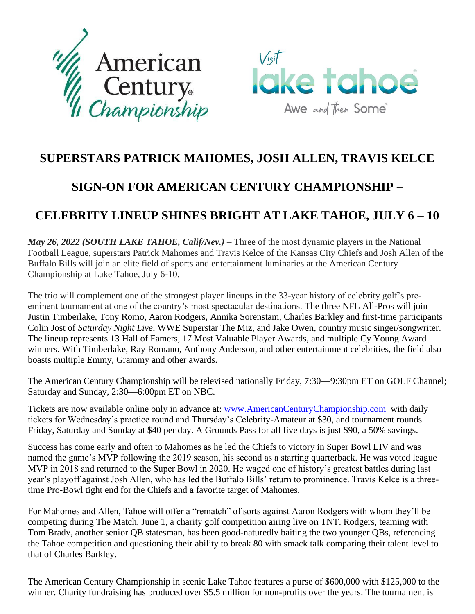



### **SUPERSTARS PATRICK MAHOMES, JOSH ALLEN, TRAVIS KELCE**

## **SIGN-ON FOR AMERICAN CENTURY CHAMPIONSHIP –**

# **CELEBRITY LINEUP SHINES BRIGHT AT LAKE TAHOE, JULY 6 – 10**

*May 26, 2022 (SOUTH LAKE TAHOE, Calif/Nev.)* – Three of the most dynamic players in the National Football League, superstars Patrick Mahomes and Travis Kelce of the Kansas City Chiefs and Josh Allen of the Buffalo Bills will join an elite field of sports and entertainment luminaries at the American Century Championship at Lake Tahoe, July 6-10.

The trio will complement one of the strongest player lineups in the 33-year history of celebrity golf's preeminent tournament at one of the country's most spectacular destinations. The three NFL All-Pros will join Justin Timberlake, Tony Romo, Aaron Rodgers, Annika Sorenstam, Charles Barkley and first-time participants Colin Jost of *Saturday Night Live*, WWE Superstar The Miz, and Jake Owen, country music singer/songwriter. The lineup represents 13 Hall of Famers, 17 Most Valuable Player Awards, and multiple Cy Young Award winners. With Timberlake, Ray Romano, Anthony Anderson, and other entertainment celebrities, the field also boasts multiple Emmy, Grammy and other awards.

The American Century Championship will be televised nationally Friday, 7:30—9:30pm ET on GOLF Channel; Saturday and Sunday, 2:30—6:00pm ET on NBC.

Tickets are now available online only in advance at: [www.AmericanCenturyChampionship.com](http://www.americancenturychampionship.com/) with daily tickets for Wednesday's practice round and Thursday's Celebrity-Amateur at \$30, and tournament rounds Friday, Saturday and Sunday at \$40 per day. A Grounds Pass for all five days is just \$90, a 50% savings.

Success has come early and often to Mahomes as he led the Chiefs to victory in Super Bowl LIV and was named the game's MVP following the 2019 season, his second as a starting quarterback. He was voted league MVP in 2018 and returned to the Super Bowl in 2020. He waged one of history's greatest battles during last year's playoff against Josh Allen, who has led the Buffalo Bills' return to prominence. Travis Kelce is a threetime Pro-Bowl tight end for the Chiefs and a favorite target of Mahomes.

For Mahomes and Allen, Tahoe will offer a "rematch" of sorts against Aaron Rodgers with whom they'll be competing during The Match, June 1, a charity golf competition airing live on TNT. Rodgers, teaming with Tom Brady, another senior QB statesman, has been good-naturedly baiting the two younger QBs, referencing the Tahoe competition and questioning their ability to break 80 with smack talk comparing their talent level to that of Charles Barkley.

The American Century Championship in scenic Lake Tahoe features a purse of \$600,000 with \$125,000 to the winner. Charity fundraising has produced over \$5.5 million for non-profits over the years. The tournament is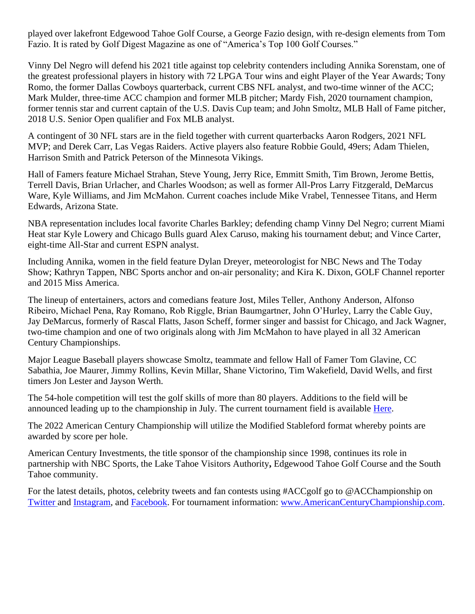played over lakefront Edgewood Tahoe Golf Course, a George Fazio design, with re-design elements from Tom Fazio. It is rated by Golf Digest Magazine as one of "America's Top 100 Golf Courses."

Vinny Del Negro will defend his 2021 title against top celebrity contenders including Annika Sorenstam, one of the greatest professional players in history with 72 LPGA Tour wins and eight Player of the Year Awards; Tony Romo, the former Dallas Cowboys quarterback, current CBS NFL analyst, and two-time winner of the ACC; Mark Mulder, three-time ACC champion and former MLB pitcher; Mardy Fish, 2020 tournament champion, former tennis star and current captain of the U.S. Davis Cup team; and John Smoltz, MLB Hall of Fame pitcher, 2018 U.S. Senior Open qualifier and Fox MLB analyst.

A contingent of 30 NFL stars are in the field together with current quarterbacks Aaron Rodgers, 2021 NFL MVP; and Derek Carr, Las Vegas Raiders. Active players also feature Robbie Gould, 49ers; Adam Thielen, Harrison Smith and Patrick Peterson of the Minnesota Vikings.

Hall of Famers feature Michael Strahan, Steve Young, Jerry Rice, Emmitt Smith, Tim Brown, Jerome Bettis, Terrell Davis, Brian Urlacher, and Charles Woodson; as well as former All-Pros Larry Fitzgerald, DeMarcus Ware, Kyle Williams, and Jim McMahon. Current coaches include Mike Vrabel, Tennessee Titans, and Herm Edwards, Arizona State.

NBA representation includes local favorite Charles Barkley; defending champ Vinny Del Negro; current Miami Heat star Kyle Lowery and Chicago Bulls guard Alex Caruso, making his tournament debut; and Vince Carter, eight-time All-Star and current ESPN analyst.

Including Annika, women in the field feature Dylan Dreyer, meteorologist for NBC News and The Today Show; Kathryn Tappen, NBC Sports anchor and on-air personality; and Kira K. Dixon, GOLF Channel reporter and 2015 Miss America.

The lineup of entertainers, actors and comedians feature Jost, Miles Teller, Anthony Anderson, Alfonso Ribeiro, Michael Pena, Ray Romano, Rob Riggle, Brian Baumgartner, John O'Hurley, Larry the Cable Guy, Jay DeMarcus, formerly of Rascal Flatts, Jason Scheff, former singer and bassist for Chicago, and Jack Wagner, two-time champion and one of two originals along with Jim McMahon to have played in all 32 American Century Championships.

Major League Baseball players showcase Smoltz, teammate and fellow Hall of Famer Tom Glavine, CC Sabathia, Joe Maurer, Jimmy Rollins, Kevin Millar, Shane Victorino, Tim Wakefield, David Wells, and first timers Jon Lester and Jayson Werth.

The 54-hole competition will test the golf skills of more than 80 players. Additions to the field will be announced leading up to the championship in July. The current tournament field is available [Here.](https://americancenturychampionship.com/category/celebrities/)

The 2022 American Century Championship will utilize the Modified Stableford format whereby points are awarded by score per hole.

American Century Investments, the title sponsor of the championship since 1998, continues its role in partnership with NBC Sports, the Lake Tahoe Visitors Authority**,** Edgewood Tahoe Golf Course and the South Tahoe community.

For the latest details, photos, celebrity tweets and fan contests using #ACCgolf go to @ACChampionship on [Twitter](https://twitter.com/ACChampionship) and [Instagram,](https://www.instagram.com/acchampionship/) and [Facebook.](https://www.facebook.com/ACChampionship) For tournament information: [www.AmericanCenturyChampionship.com.](http://www.americancenturychampionship.com/)